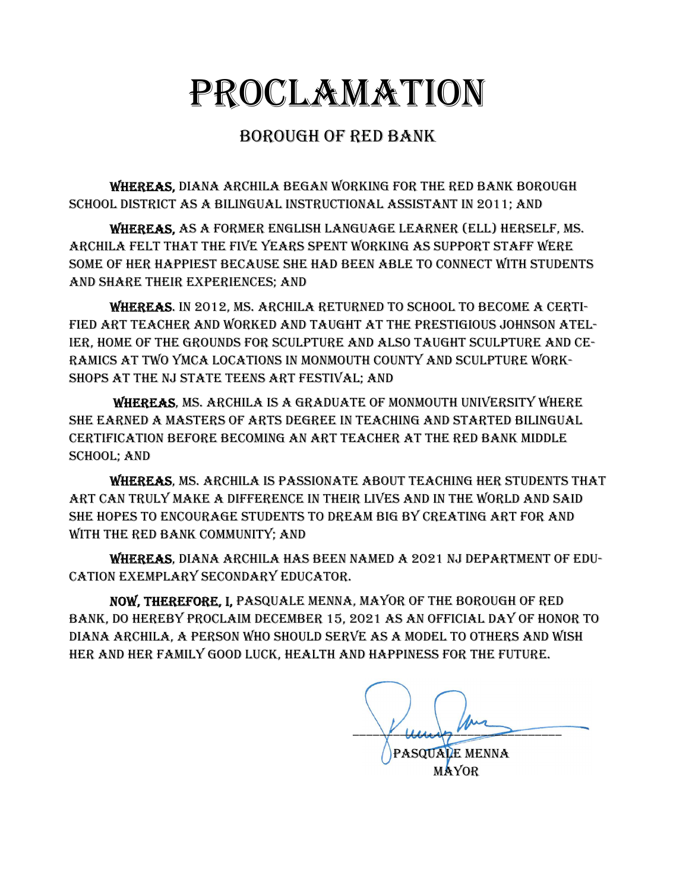## PROCLAMATION

## BOROUGH OF RED BANK

WHEREAS, DIANA ARCHILA BEGAN WORKING FOR THE RED BANK BOROUGH SCHOOL DISTRICT AS A BILINGUAL INSTRUCTIONAL ASSISTANT IN 2011; AND

WHEREAS, AS A FORMER ENGLISH LANGUAGE LEARNER (ELL) HERSELF, MS. ARCHILA FELT THAT THE FIVE YEARS SPENT WORKING AS SUPPORT STAFF WERE SOME OF HER HAPPIEST BECAUSE SHE HAD BEEN ABLE TO CONNECT WITH STUDENTS AND SHARE THEIR EXPERIENCES; AND

WHEREAS. IN 2012, MS. ARCHILA RETURNED TO SCHOOL TO BECOME A CERTI-FIED ART TEACHER AND WORKED AND TAUGHT AT THE PRESTIGIOUS JOHNSON ATEL-IER, HOME OF THE GROUNDS FOR SCULPTURE AND ALSO TAUGHT SCULPTURE AND CE-RAMICS AT TWO YMCA LOCATIONS IN MONMOUTH COUNTY AND SCULPTURE WORK-SHOPS AT THE NJ STATE TEENS ART FESTIVAL; AND

WHEREAS, MS. ARCHILA IS A GRADUATE OF MONMOUTH UNIVERSITY WHERE SHE EARNED A MASTERS OF ARTS DEGREE IN TEACHING AND STARTED BILINGUAL CERTIFICATION BEFORE BECOMING AN ART TEACHER AT THE RED BANK MIDDLE SCHOOL; AND

WHEREAS, MS. ARCHILA IS PASSIONATE ABOUT TEACHING HER STUDENTS THAT ART CAN TRULY MAKE A DIFFERENCE IN THEIR LIVES AND IN THE WORLD AND SAID SHE HOPES TO ENCOURAGE STUDENTS TO DREAM BIG BY CREATING ART FOR AND WITH THE RED BANK COMMUNITY; AND

WHEREAS, DIANA ARCHILA HAS BEEN NAMED A 2021 NJ DEPARTMENT OF EDU-CATION EXEMPLARY SECONDARY EDUCATOR.

NOW, THEREFORE, I, PASQUALE MENNA, MAYOR OF THE BOROUGH OF RED BANK, DO HEREBY PROCLAIM DECEMBER 15, 2021 AS AN OFFICIAL DAY OF HONOR TO DIANA ARCHILA, A PERSON WHO SHOULD SERVE AS A MODEL TO OTHERS AND WISH HER AND HER FAMILY GOOD LUCK, HEALTH AND HAPPINESS FOR THE FUTURE.

 $\frac{1}{\sqrt{1-\frac{1}{2}}}\sqrt{1-\frac{1}{2}}$ PASQUALE MENNA

MAYOR